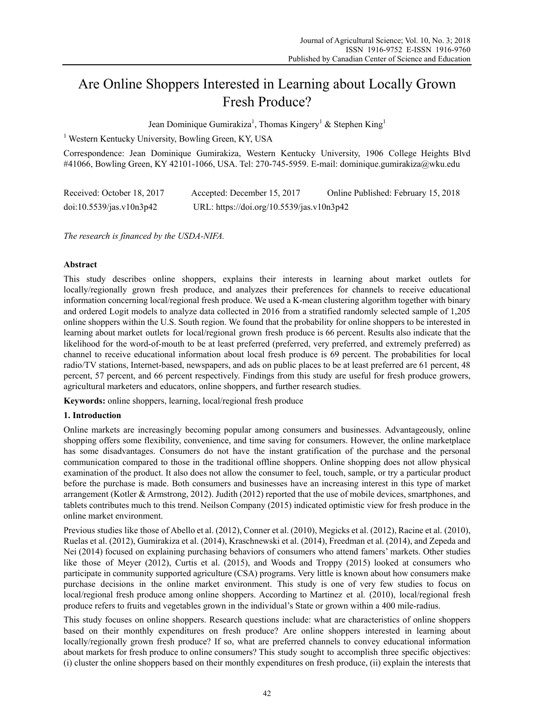# Are Online Shoppers Interested in Learning about Locally Grown Fresh Produce?

Jean Dominique Gumirakiza<sup>1</sup>, Thomas Kingery<sup>1</sup> & Stephen King<sup>1</sup>

<sup>1</sup> Western Kentucky University, Bowling Green, KY, USA

Correspondence: Jean Dominique Gumirakiza, Western Kentucky University, 1906 College Heights Blvd #41066, Bowling Green, KY 42101-1066, USA. Tel: 270-745-5959. E-mail: dominique.gumirakiza@wku.edu

| Received: October 18, 2017 | Accepted: December 15, 2017               | Online Published: February 15, 2018 |
|----------------------------|-------------------------------------------|-------------------------------------|
| doi:10.5539/jas.v10n3p42   | URL: https://doi.org/10.5539/jas.v10n3p42 |                                     |

*The research is financed by the USDA-NIFA.*

## **Abstract**

This study describes online shoppers, explains their interests in learning about market outlets for locally/regionally grown fresh produce, and analyzes their preferences for channels to receive educational information concerning local/regional fresh produce. We used a K-mean clustering algorithm together with binary and ordered Logit models to analyze data collected in 2016 from a stratified randomly selected sample of 1,205 online shoppers within the U.S. South region. We found that the probability for online shoppers to be interested in learning about market outlets for local/regional grown fresh produce is 66 percent. Results also indicate that the likelihood for the word-of-mouth to be at least preferred (preferred, very preferred, and extremely preferred) as channel to receive educational information about local fresh produce is 69 percent. The probabilities for local radio/TV stations, Internet-based, newspapers, and ads on public places to be at least preferred are 61 percent, 48 percent, 57 percent, and 66 percent respectively. Findings from this study are useful for fresh produce growers, agricultural marketers and educators, online shoppers, and further research studies.

**Keywords:** online shoppers, learning, local/regional fresh produce

#### **1. Introduction**

Online markets are increasingly becoming popular among consumers and businesses. Advantageously, online shopping offers some flexibility, convenience, and time saving for consumers. However, the online marketplace has some disadvantages. Consumers do not have the instant gratification of the purchase and the personal communication compared to those in the traditional offline shoppers. Online shopping does not allow physical examination of the product. It also does not allow the consumer to feel, touch, sample, or try a particular product before the purchase is made. Both consumers and businesses have an increasing interest in this type of market arrangement (Kotler & Armstrong, 2012). Judith (2012) reported that the use of mobile devices, smartphones, and tablets contributes much to this trend. Neilson Company (2015) indicated optimistic view for fresh produce in the online market environment.

Previous studies like those of Abello et al. (2012), Conner et al. (2010), Megicks et al. (2012), Racine et al. (2010), Ruelas et al. (2012), Gumirakiza et al. (2014), Kraschnewski et al. (2014), Freedman et al. (2014), and Zepeda and Nei (2014) focused on explaining purchasing behaviors of consumers who attend famers' markets. Other studies like those of Meyer (2012), Curtis et al. (2015), and Woods and Troppy (2015) looked at consumers who participate in community supported agriculture (CSA) programs. Very little is known about how consumers make purchase decisions in the online market environment. This study is one of very few studies to focus on local/regional fresh produce among online shoppers. According to Martinez et al. (2010), local/regional fresh produce refers to fruits and vegetables grown in the individual's State or grown within a 400 mile-radius.

This study focuses on online shoppers. Research questions include: what are characteristics of online shoppers based on their monthly expenditures on fresh produce? Are online shoppers interested in learning about locally/regionally grown fresh produce? If so, what are preferred channels to convey educational information about markets for fresh produce to online consumers? This study sought to accomplish three specific objectives: (i) cluster the online shoppers based on their monthly expenditures on fresh produce, (ii) explain the interests that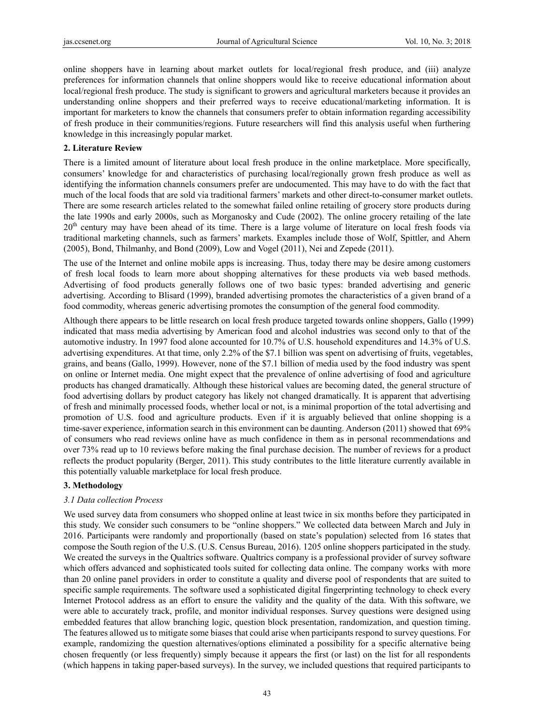online shoppers have in learning about market outlets for local/regional fresh produce, and (iii) analyze preferences for information channels that online shoppers would like to receive educational information about local/regional fresh produce. The study is significant to growers and agricultural marketers because it provides an understanding online shoppers and their preferred ways to receive educational/marketing information. It is important for marketers to know the channels that consumers prefer to obtain information regarding accessibility of fresh produce in their communities/regions. Future researchers will find this analysis useful when furthering knowledge in this increasingly popular market.

#### **2. Literature Review**

There is a limited amount of literature about local fresh produce in the online marketplace. More specifically, consumers' knowledge for and characteristics of purchasing local/regionally grown fresh produce as well as identifying the information channels consumers prefer are undocumented. This may have to do with the fact that much of the local foods that are sold via traditional farmers' markets and other direct-to-consumer market outlets. There are some research articles related to the somewhat failed online retailing of grocery store products during the late 1990s and early 2000s, such as Morganosky and Cude (2002). The online grocery retailing of the late 20<sup>th</sup> century may have been ahead of its time. There is a large volume of literature on local fresh foods via traditional marketing channels, such as farmers' markets. Examples include those of Wolf, Spittler, and Ahern (2005), Bond, Thilmanhy, and Bond (2009), Low and Vogel (2011), Nei and Zepede (2011).

The use of the Internet and online mobile apps is increasing. Thus, today there may be desire among customers of fresh local foods to learn more about shopping alternatives for these products via web based methods. Advertising of food products generally follows one of two basic types: branded advertising and generic advertising. According to Blisard (1999), branded advertising promotes the characteristics of a given brand of a food commodity, whereas generic advertising promotes the consumption of the general food commodity.

Although there appears to be little research on local fresh produce targeted towards online shoppers, Gallo (1999) indicated that mass media advertising by American food and alcohol industries was second only to that of the automotive industry. In 1997 food alone accounted for 10.7% of U.S. household expenditures and 14.3% of U.S. advertising expenditures. At that time, only 2.2% of the \$7.1 billion was spent on advertising of fruits, vegetables, grains, and beans (Gallo, 1999). However, none of the \$7.1 billion of media used by the food industry was spent on online or Internet media. One might expect that the prevalence of online advertising of food and agriculture products has changed dramatically. Although these historical values are becoming dated, the general structure of food advertising dollars by product category has likely not changed dramatically. It is apparent that advertising of fresh and minimally processed foods, whether local or not, is a minimal proportion of the total advertising and promotion of U.S. food and agriculture products. Even if it is arguably believed that online shopping is a time-saver experience, information search in this environment can be daunting. Anderson (2011) showed that 69% of consumers who read reviews online have as much confidence in them as in personal recommendations and over 73% read up to 10 reviews before making the final purchase decision. The number of reviews for a product reflects the product popularity (Berger, 2011). This study contributes to the little literature currently available in this potentially valuable marketplace for local fresh produce.

# **3. Methodology**

# *3.1 Data collection Process*

We used survey data from consumers who shopped online at least twice in six months before they participated in this study. We consider such consumers to be "online shoppers." We collected data between March and July in 2016. Participants were randomly and proportionally (based on state's population) selected from 16 states that compose the South region of the U.S. (U.S. Census Bureau, 2016). 1205 online shoppers participated in the study. We created the surveys in the Qualtrics software. Qualtrics company is a professional provider of survey software which offers advanced and sophisticated tools suited for collecting data online. The company works with more than 20 online panel providers in order to constitute a quality and diverse pool of respondents that are suited to specific sample requirements. The software used a sophisticated digital fingerprinting technology to check every Internet Protocol address as an effort to ensure the validity and the quality of the data. With this software, we were able to accurately track, profile, and monitor individual responses. Survey questions were designed using embedded features that allow branching logic, question block presentation, randomization, and question timing. The features allowed us to mitigate some biases that could arise when participants respond to survey questions. For example, randomizing the question alternatives/options eliminated a possibility for a specific alternative being chosen frequently (or less frequently) simply because it appears the first (or last) on the list for all respondents (which happens in taking paper-based surveys). In the survey, we included questions that required participants to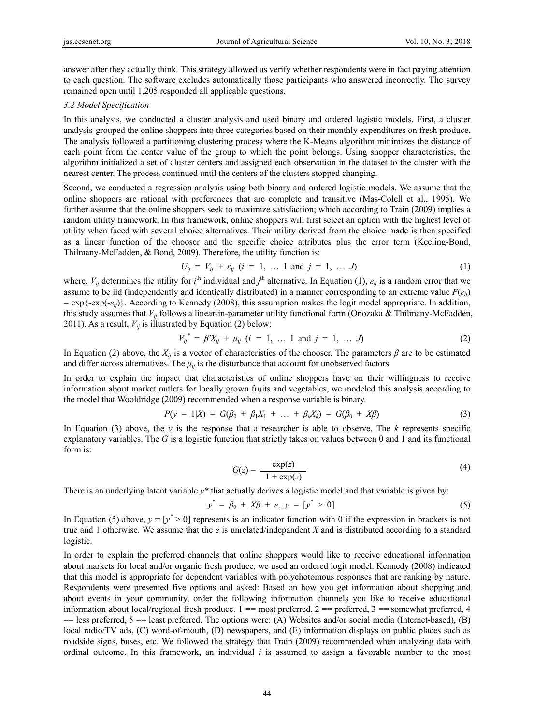answer after they actually think. This strategy allowed us verify whether respondents were in fact paying attention to each question. The software excludes automatically those participants who answered incorrectly. The survey remained open until 1,205 responded all applicable questions.

#### *3.2 Model Specification*

In this analysis, we conducted a cluster analysis and used binary and ordered logistic models. First, a cluster analysis grouped the online shoppers into three categories based on their monthly expenditures on fresh produce. The analysis followed a partitioning clustering process where the K-Means algorithm minimizes the distance of each point from the center value of the group to which the point belongs. Using shopper characteristics, the algorithm initialized a set of cluster centers and assigned each observation in the dataset to the cluster with the nearest center. The process continued until the centers of the clusters stopped changing.

Second, we conducted a regression analysis using both binary and ordered logistic models. We assume that the online shoppers are rational with preferences that are complete and transitive (Mas-Colell et al., 1995). We further assume that the online shoppers seek to maximize satisfaction; which according to Train (2009) implies a random utility framework. In this framework, online shoppers will first select an option with the highest level of utility when faced with several choice alternatives. Their utility derived from the choice made is then specified as a linear function of the chooser and the specific choice attributes plus the error term (Keeling-Bond, Thilmany-McFadden, & Bond, 2009). Therefore, the utility function is:

$$
U_{ij} = V_{ij} + \varepsilon_{ij} \ (i = 1, \ \dots \ I \ \text{and} \ j = 1, \ \dots \ J)
$$
 (1)

where,  $V_{ij}$  determines the utility for *i*<sup>th</sup> individual and *j*<sup>th</sup> alternative. In Equation (1),  $\varepsilon_{ij}$  is a random error that we assume to be iid (independently and identically distributed) in a manner corresponding to an extreme value  $F(\varepsilon_{ij})$ = exp{-exp(-*εij*)}. According to Kennedy (2008), this assumption makes the logit model appropriate. In addition, this study assumes that *Vij* follows a linear-in-parameter utility functional form (Onozaka & Thilmany-McFadden, 2011). As a result,  $V_{ij}$  is illustrated by Equation (2) below:

$$
V_{ij}^* = \beta' X_{ij} + \mu_{ij} \ (i = 1, \ \dots \ I \text{ and } j = 1, \ \dots \ J)
$$
 (2)

In Equation (2) above, the  $X_{ij}$  is a vector of characteristics of the chooser. The parameters  $\beta$  are to be estimated and differ across alternatives. The  $\mu$ <sup>*i*</sup> is the disturbance that account for unobserved factors.

In order to explain the impact that characteristics of online shoppers have on their willingness to receive information about market outlets for locally grown fruits and vegetables, we modeled this analysis according to the model that Wooldridge (2009) recommended when a response variable is binary.

$$
P(y = 1|X) = G(\beta_0 + \beta_1 X_1 + \dots + \beta_k X_k) = G(\beta_0 + X\beta)
$$
\n(3)

In Equation (3) above, the  $y$  is the response that a researcher is able to observe. The  $k$  represents specific explanatory variables. The *G* is a logistic function that strictly takes on values between 0 and 1 and its functional form is:

$$
G(z) = \frac{\exp(z)}{1 + \exp(z)}
$$
(4)

There is an underlying latent variable *y\** that actually derives a logistic model and that variable is given by:

$$
y^* = \beta_0 + X\beta + e, \ y = [y^* > 0]
$$
 (5)

In Equation (5) above,  $y = [y^* > 0]$  represents is an indicator function with 0 if the expression in brackets is not true and 1 otherwise. We assume that the *e* is unrelated/indepandent *X* and is distributed according to a standard logistic.

In order to explain the preferred channels that online shoppers would like to receive educational information about markets for local and/or organic fresh produce, we used an ordered logit model. Kennedy (2008) indicated that this model is appropriate for dependent variables with polychotomous responses that are ranking by nature. Respondents were presented five options and asked: Based on how you get information about shopping and about events in your community, order the following information channels you like to receive educational information about local/regional fresh produce.  $1 =$  most preferred,  $2 =$  preferred,  $3 =$  somewhat preferred,  $4$  $=$  less preferred, 5 = least preferred. The options were: (A) Websites and/or social media (Internet-based), (B) local radio/TV ads, (C) word-of-mouth, (D) newspapers, and (E) information displays on public places such as roadside signs, buses, etc. We followed the strategy that Train (2009) recommended when analyzing data with ordinal outcome. In this framework, an individual *i* is assumed to assign a favorable number to the most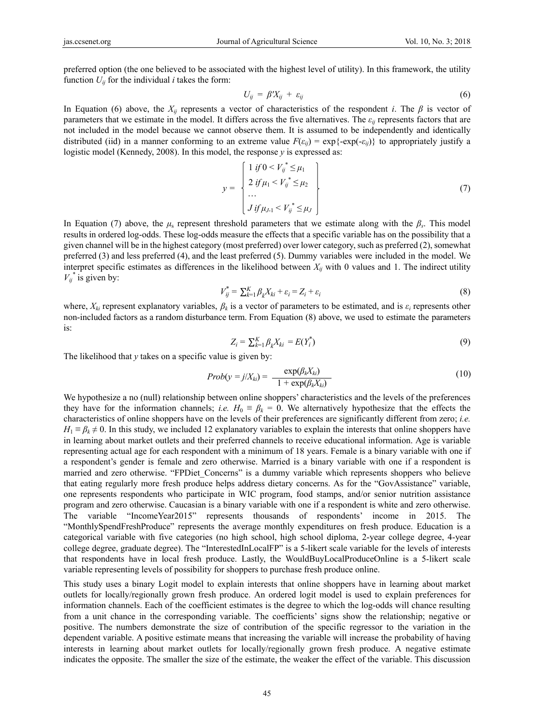preferred option (the one believed to be associated with the highest level of utility). In this framework, the utility function  $U_{ij}$  for the individual *i* takes the form:

$$
U_{ij} = \beta' X_{ij} + \varepsilon_{ij} \tag{6}
$$

In Equation (6) above, the  $X_{ij}$  represents a vector of characteristics of the respondent *i*. The  $\beta$  is vector of parameters that we estimate in the model. It differs across the five alternatives. The *εij* represents factors that are not included in the model because we cannot observe them. It is assumed to be independently and identically distributed (iid) in a manner conforming to an extreme value  $F(\varepsilon_{ij}) = \exp\{-\exp(-\varepsilon_{ij})\}$  to appropriately justify a logistic model (Kennedy, 2008). In this model, the response *y* is expressed as:

$$
y = \begin{cases} 1 & \text{if } 0 < V_{ij}^* \leq \mu_1 \\ 2 & \text{if } \mu_1 < V_{ij}^* \leq \mu_2 \\ \dots \\ J & \text{if } \mu_{J-1} < V_{ij}^* \leq \mu_J \end{cases} \tag{7}
$$

In Equation (7) above, the  $\mu_s$  represent threshold parameters that we estimate along with the  $\beta_s$ . This model results in ordered log-odds. These log-odds measure the effects that a specific variable has on the possibility that a given channel will be in the highest category (most preferred) over lower category, such as preferred (2), somewhat preferred (3) and less preferred (4), and the least preferred (5). Dummy variables were included in the model. We interpret specific estimates as differences in the likelihood between  $X_{ij}$  with 0 values and 1. The indirect utility  $V_{ij}^*$  is given by:

$$
V_{ij}^* = \sum_{k=1}^K \beta_k X_{ki} + \varepsilon_i = Z_i + \varepsilon_i \tag{8}
$$

where, *Xki* represent explanatory variables, *βk* is a vector of parameters to be estimated, and is *εi* represents other non-included factors as a random disturbance term. From Equation (8) above, we used to estimate the parameters is:

$$
Z_i = \sum_{k=1}^{K} \beta_k X_{ki} = E(Y_i^*)
$$
\n(9)

The likelihood that *y* takes on a specific value is given by:

$$
Prob(y = j/X_{ki}) = \frac{\exp(\beta_k X_{ki})}{1 + \exp(\beta_k X_{ki})}
$$
\n(10)

We hypothesize a no (null) relationship between online shoppers' characteristics and the levels of the preferences they have for the information channels; *i.e.*  $H_0 \equiv \beta_k = 0$ . We alternatively hypothesize that the effects the characteristics of online shoppers have on the levels of their preferences are significantly different from zero; *i.e.*  $H_1 \equiv \beta_k \neq 0$ . In this study, we included 12 explanatory variables to explain the interests that online shoppers have in learning about market outlets and their preferred channels to receive educational information. Age is variable representing actual age for each respondent with a minimum of 18 years. Female is a binary variable with one if a respondent's gender is female and zero otherwise. Married is a binary variable with one if a respondent is married and zero otherwise. "FPDiet Concerns" is a dummy variable which represents shoppers who believe that eating regularly more fresh produce helps address dietary concerns. As for the "GovAssistance" variable, one represents respondents who participate in WIC program, food stamps, and/or senior nutrition assistance program and zero otherwise. Caucasian is a binary variable with one if a respondent is white and zero otherwise. The variable "IncomeYear2015" represents thousands of respondents' income in 2015. The "MonthlySpendFreshProduce" represents the average monthly expenditures on fresh produce. Education is a categorical variable with five categories (no high school, high school diploma, 2-year college degree, 4-year college degree, graduate degree). The "InterestedInLocalFP" is a 5-likert scale variable for the levels of interests that respondents have in local fresh produce. Lastly, the WouldBuyLocalProduceOnline is a 5-likert scale variable representing levels of possibility for shoppers to purchase fresh produce online.

This study uses a binary Logit model to explain interests that online shoppers have in learning about market outlets for locally/regionally grown fresh produce. An ordered logit model is used to explain preferences for information channels. Each of the coefficient estimates is the degree to which the log-odds will chance resulting from a unit chance in the corresponding variable. The coefficients' signs show the relationship; negative or positive. The numbers demonstrate the size of contribution of the specific regressor to the variation in the dependent variable. A positive estimate means that increasing the variable will increase the probability of having interests in learning about market outlets for locally/regionally grown fresh produce. A negative estimate indicates the opposite. The smaller the size of the estimate, the weaker the effect of the variable. This discussion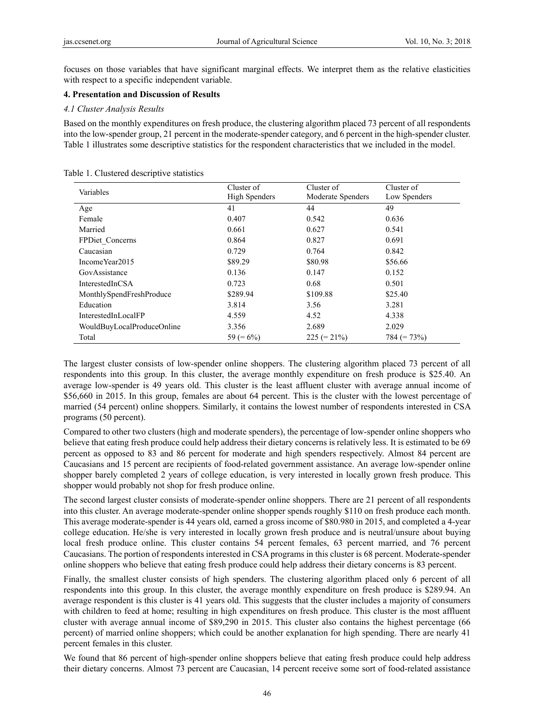focuses on those variables that have significant marginal effects. We interpret them as the relative elasticities with respect to a specific independent variable.

## **4. Presentation and Discussion of Results**

### *4.1 Cluster Analysis Results*

Based on the monthly expenditures on fresh produce, the clustering algorithm placed 73 percent of all respondents into the low-spender group, 21 percent in the moderate-spender category, and 6 percent in the high-spender cluster. Table 1 illustrates some descriptive statistics for the respondent characteristics that we included in the model.

| Variables                  | Cluster of<br><b>High Spenders</b> | Cluster of<br>Moderate Spenders | Cluster of<br>Low Spenders |  |
|----------------------------|------------------------------------|---------------------------------|----------------------------|--|
| Age                        | 41                                 | 44                              | 49                         |  |
| Female                     | 0.407                              | 0.542                           | 0.636                      |  |
| Married                    | 0.661                              | 0.627                           | 0.541                      |  |
| FPDiet Concerns            | 0.864                              | 0.827                           | 0.691                      |  |
| Caucasian                  | 0.729                              | 0.764                           | 0.842                      |  |
| IncomeYear2015             | \$89.29                            | \$80.98                         | \$56.66                    |  |
| GovAssistance              | 0.136                              | 0.147                           | 0.152                      |  |
| InterestedInCSA            | 0.723                              | 0.68                            | 0.501                      |  |
| MonthlySpendFreshProduce   | \$289.94                           | \$109.88                        | \$25.40                    |  |
| Education                  | 3.814                              | 3.56                            | 3.281                      |  |
| InterestedInLocalFP        | 4.559                              | 4.52                            | 4.338                      |  |
| WouldBuyLocalProduceOnline | 3.356                              | 2.689                           | 2.029                      |  |
| Total                      | 59 ( $= 6\%$ )                     | $225 (= 21\%)$                  | $784 (= 73\%)$             |  |

Table 1. Clustered descriptive statistics

The largest cluster consists of low-spender online shoppers. The clustering algorithm placed 73 percent of all respondents into this group. In this cluster, the average monthly expenditure on fresh produce is \$25.40. An average low-spender is 49 years old. This cluster is the least affluent cluster with average annual income of \$56,660 in 2015. In this group, females are about 64 percent. This is the cluster with the lowest percentage of married (54 percent) online shoppers. Similarly, it contains the lowest number of respondents interested in CSA programs (50 percent).

Compared to other two clusters (high and moderate spenders), the percentage of low-spender online shoppers who believe that eating fresh produce could help address their dietary concerns is relatively less. It is estimated to be 69 percent as opposed to 83 and 86 percent for moderate and high spenders respectively. Almost 84 percent are Caucasians and 15 percent are recipients of food-related government assistance. An average low-spender online shopper barely completed 2 years of college education, is very interested in locally grown fresh produce. This shopper would probably not shop for fresh produce online.

The second largest cluster consists of moderate-spender online shoppers. There are 21 percent of all respondents into this cluster. An average moderate-spender online shopper spends roughly \$110 on fresh produce each month. This average moderate-spender is 44 years old, earned a gross income of \$80.980 in 2015, and completed a 4-year college education. He/she is very interested in locally grown fresh produce and is neutral/unsure about buying local fresh produce online. This cluster contains 54 percent females, 63 percent married, and 76 percent Caucasians. The portion of respondents interested in CSA programs in this cluster is 68 percent. Moderate-spender online shoppers who believe that eating fresh produce could help address their dietary concerns is 83 percent.

Finally, the smallest cluster consists of high spenders. The clustering algorithm placed only 6 percent of all respondents into this group. In this cluster, the average monthly expenditure on fresh produce is \$289.94. An average respondent is this cluster is 41 years old. This suggests that the cluster includes a majority of consumers with children to feed at home; resulting in high expenditures on fresh produce. This cluster is the most affluent cluster with average annual income of \$89,290 in 2015. This cluster also contains the highest percentage (66 percent) of married online shoppers; which could be another explanation for high spending. There are nearly 41 percent females in this cluster.

We found that 86 percent of high-spender online shoppers believe that eating fresh produce could help address their dietary concerns. Almost 73 percent are Caucasian, 14 percent receive some sort of food-related assistance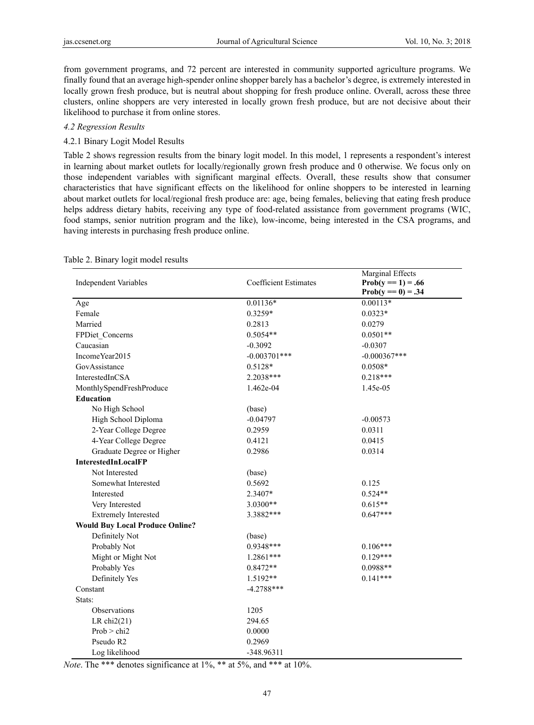from government programs, and 72 percent are interested in community supported agriculture programs. We finally found that an average high-spender online shopper barely has a bachelor's degree, is extremely interested in locally grown fresh produce, but is neutral about shopping for fresh produce online. Overall, across these three clusters, online shoppers are very interested in locally grown fresh produce, but are not decisive about their likelihood to purchase it from online stores.

#### *4.2 Regression Results*

## 4.2.1 Binary Logit Model Results

Table 2 shows regression results from the binary logit model. In this model, 1 represents a respondent's interest in learning about market outlets for locally/regionally grown fresh produce and 0 otherwise. We focus only on those independent variables with significant marginal effects. Overall, these results show that consumer characteristics that have significant effects on the likelihood for online shoppers to be interested in learning about market outlets for local/regional fresh produce are: age, being females, believing that eating fresh produce helps address dietary habits, receiving any type of food-related assistance from government programs (WIC, food stamps, senior nutrition program and the like), low-income, being interested in the CSA programs, and having interests in purchasing fresh produce online.

| <b>Independent Variables</b>           | <b>Coefficient Estimates</b> | Marginal Effects<br>$Prob(y = 1) = .66$ |
|----------------------------------------|------------------------------|-----------------------------------------|
|                                        |                              | $Prob(y == 0) = .34$                    |
| Age                                    | $0.01136*$                   | $0.00113*$                              |
| Female                                 | 0.3259*                      | $0.0323*$                               |
| Married                                | 0.2813                       | 0.0279                                  |
| FPDiet Concerns                        | $0.5054**$                   | $0.0501**$                              |
| Caucasian                              | $-0.3092$                    | $-0.0307$                               |
| Income Year2015                        | $-0.003701$ ***              | $-0.000367***$                          |
| GovAssistance                          | 0.5128*                      | $0.0508*$                               |
| InterestedInCSA                        | 2.2038***                    | $0.218***$                              |
| MonthlySpendFreshProduce               | 1.462e-04                    | 1.45e-05                                |
| <b>Education</b>                       |                              |                                         |
| No High School                         | (base)                       |                                         |
| High School Diploma                    | $-0.04797$                   | $-0.00573$                              |
| 2-Year College Degree                  | 0.2959                       | 0.0311                                  |
| 4-Year College Degree                  | 0.4121                       | 0.0415                                  |
| Graduate Degree or Higher              | 0.2986                       | 0.0314                                  |
| <b>InterestedInLocalFP</b>             |                              |                                         |
| Not Interested                         | (base)                       |                                         |
| Somewhat Interested                    | 0.5692                       | 0.125                                   |
| Interested                             | 2.3407*                      | $0.524**$                               |
| Very Interested                        | 3.0300**                     | $0.615**$                               |
| <b>Extremely Interested</b>            | 3.3882***                    | $0.647***$                              |
| <b>Would Buy Local Produce Online?</b> |                              |                                         |
| Definitely Not                         | (base)                       |                                         |
| Probably Not                           | 0.9348***                    | $0.106***$                              |
| Might or Might Not                     | $1.2861***$                  | $0.129***$                              |
| Probably Yes                           | $0.8472**$                   | 0.0988**                                |
| Definitely Yes                         | 1.5192**                     | $0.141***$                              |
| Constant                               | $-4.2788***$                 |                                         |
| Stats:                                 |                              |                                         |
| Observations                           | 1205                         |                                         |
| LR $chi2(21)$                          | 294.65                       |                                         |
| Prob > chi2                            | 0.0000                       |                                         |
| Pseudo R2                              | 0.2969                       |                                         |
| Log likelihood                         | -348.96311                   |                                         |

#### Table 2. Binary logit model results

*Note*. The \*\*\* denotes significance at 1%, \*\* at 5%, and \*\*\* at 10%.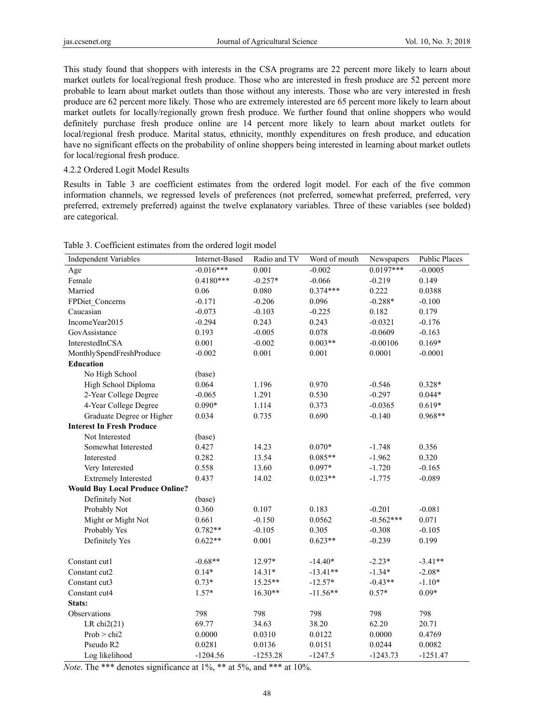This study found that shoppers with interests in the CSA programs are 22 percent more likely to learn about market outlets for local/regional fresh produce. Those who are interested in fresh produce are 52 percent more probable to learn about market outlets than those without any interests. Those who are very interested in fresh produce are 62 percent more likely. Those who are extremely interested are 65 percent more likely to learn about market outlets for locally/regionally grown fresh produce. We further found that online shoppers who would definitely purchase fresh produce online are 14 percent more likely to learn about market outlets for local/regional fresh produce. Marital status, ethnicity, monthly expenditures on fresh produce, and education have no significant effects on the probability of online shoppers being interested in learning about market outlets for local/regional fresh produce.

#### 4.2.2 Ordered Logit Model Results

Results in Table 3 are coefficient estimates from the ordered logit model. For each of the five common information channels, we regressed levels of preferences (not preferred, somewhat preferred, preferred, very preferred, extremely preferred) against the twelve explanatory variables. Three of these variables (see bolded) are categorical.

| <b>Independent Variables</b>           | Internet-Based | Radio and TV | Word of mouth | Newspapers  | <b>Public Places</b> |
|----------------------------------------|----------------|--------------|---------------|-------------|----------------------|
| Age                                    | $-0.016***$    | 0.001        | $-0.002$      | $0.0197***$ | $-0.0005$            |
| Female                                 | $0.4180***$    | $-0.257*$    | $-0.066$      | $-0.219$    | 0.149                |
| Married                                | 0.06           | 0.080        | $0.374***$    | 0.222       | 0.0388               |
| FPDiet Concerns                        | $-0.171$       | $-0.206$     | 0.096         | $-0.288*$   | $-0.100$             |
| Caucasian                              | $-0.073$       | $-0.103$     | $-0.225$      | 0.182       | 0.179                |
| Income Year2015                        | $-0.294$       | 0.243        | 0.243         | $-0.0321$   | $-0.176$             |
| GovAssistance                          | 0.193          | $-0.005$     | 0.078         | $-0.0609$   | $-0.163$             |
| InterestedInCSA                        | 0.001          | $-0.002$     | $0.003**$     | $-0.00106$  | $0.169*$             |
| MonthlySpendFreshProduce               | $-0.002$       | 0.001        | 0.001         | 0.0001      | $-0.0001$            |
| <b>Education</b>                       |                |              |               |             |                      |
| No High School                         | (base)         |              |               |             |                      |
| High School Diploma                    | 0.064          | 1.196        | 0.970         | $-0.546$    | 0.328*               |
| 2-Year College Degree                  | $-0.065$       | 1.291        | 0.530         | $-0.297$    | $0.044*$             |
| 4-Year College Degree                  | $0.090*$       | 1.114        | 0.373         | $-0.0365$   | $0.619*$             |
| Graduate Degree or Higher              | 0.034          | 0.735        | 0.690         | $-0.140$    | $0.968**$            |
| <b>Interest In Fresh Produce</b>       |                |              |               |             |                      |
| Not Interested                         | (base)         |              |               |             |                      |
| Somewhat Interested                    | 0.427          | 14.23        | $0.070*$      | $-1.748$    | 0.356                |
| Interested                             | 0.282          | 13.54        | $0.085**$     | $-1.962$    | 0.320                |
| Very Interested                        | 0.558          | 13.60        | $0.097*$      | $-1.720$    | $-0.165$             |
| <b>Extremely Interested</b>            | 0.437          | 14.02        | $0.023**$     | $-1.775$    | $-0.089$             |
| <b>Would Buy Local Produce Online?</b> |                |              |               |             |                      |
| Definitely Not                         | (base)         |              |               |             |                      |
| Probably Not                           | 0.360          | 0.107        | 0.183         | $-0.201$    | $-0.081$             |
| Might or Might Not                     | 0.661          | $-0.150$     | 0.0562        | $-0.562***$ | 0.071                |
| Probably Yes                           | $0.782**$      | $-0.105$     | 0.305         | $-0.308$    | $-0.105$             |
| Definitely Yes                         | $0.622**$      | 0.001        | $0.623**$     | $-0.239$    | 0.199                |
|                                        |                |              |               |             |                      |
| Constant cut1                          | $-0.68**$      | 12.97*       | $-14.40*$     | $-2.23*$    | $-3.41**$            |
| Constant cut2                          | $0.14*$        | $14.31*$     | $-13.41**$    | $-1.34*$    | $-2.08*$             |
| Constant cut3                          | $0.73*$        | $15.25**$    | $-12.57*$     | $-0.43**$   | $-1.10*$             |
| Constant cut4                          | $1.57*$        | $16.30**$    | $-11.56**$    | $0.57*$     | $0.09*$              |
| Stats:                                 |                |              |               |             |                      |
| Observations                           | 798            | 798          | 798           | 798         | 798                  |
| LR $chi2(21)$                          | 69.77          | 34.63        | 38.20         | 62.20       | 20.71                |
| Prob > chi2                            | 0.0000         | 0.0310       | 0.0122        | 0.0000      | 0.4769               |
| Pseudo R2                              | 0.0281         | 0.0136       | 0.0151        | 0.0244      | 0.0082               |
| Log likelihood                         | $-1204.56$     | $-1253.28$   | $-1247.5$     | $-1243.73$  | $-1251.47$           |

Table 3. Coefficient estimates from the ordered logit model

*Note*. The \*\*\* denotes significance at 1%, \*\* at 5%, and \*\*\* at 10%.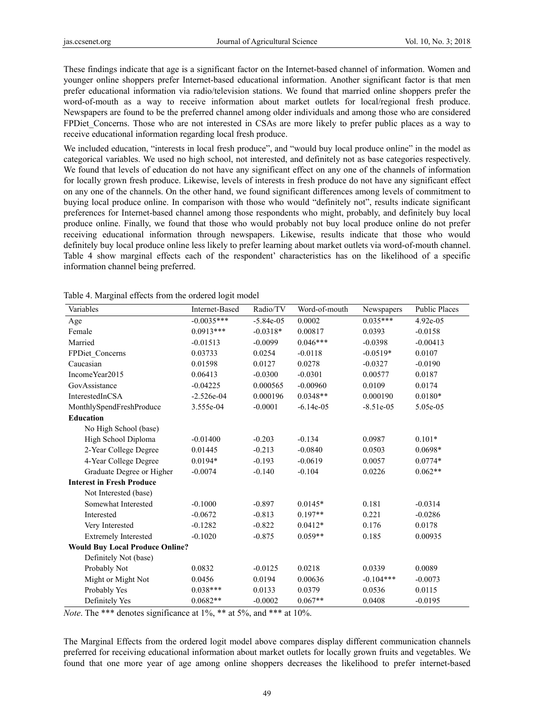These findings indicate that age is a significant factor on the Internet-based channel of information. Women and younger online shoppers prefer Internet-based educational information. Another significant factor is that men prefer educational information via radio/television stations. We found that married online shoppers prefer the word-of-mouth as a way to receive information about market outlets for local/regional fresh produce. Newspapers are found to be the preferred channel among older individuals and among those who are considered FPDiet Concerns. Those who are not interested in CSAs are more likely to prefer public places as a way to receive educational information regarding local fresh produce.

We included education, "interests in local fresh produce", and "would buy local produce online" in the model as categorical variables. We used no high school, not interested, and definitely not as base categories respectively. We found that levels of education do not have any significant effect on any one of the channels of information for locally grown fresh produce. Likewise, levels of interests in fresh produce do not have any significant effect on any one of the channels. On the other hand, we found significant differences among levels of commitment to buying local produce online. In comparison with those who would "definitely not", results indicate significant preferences for Internet-based channel among those respondents who might, probably, and definitely buy local produce online. Finally, we found that those who would probably not buy local produce online do not prefer receiving educational information through newspapers. Likewise, results indicate that those who would definitely buy local produce online less likely to prefer learning about market outlets via word-of-mouth channel. Table 4 show marginal effects each of the respondent' characteristics has on the likelihood of a specific information channel being preferred.

| Variables                              | Internet-Based | Radio/TV    | Word-of-mouth | Newspapers  | <b>Public Places</b> |
|----------------------------------------|----------------|-------------|---------------|-------------|----------------------|
| Age                                    | $-0.0035***$   | $-5.84e-05$ | 0.0002        | $0.035***$  | 4.92e-05             |
| Female                                 | $0.0913***$    | $-0.0318*$  | 0.00817       | 0.0393      | $-0.0158$            |
| Married                                | $-0.01513$     | $-0.0099$   | $0.046***$    | $-0.0398$   | $-0.00413$           |
| FPDiet Concerns                        | 0.03733        | 0.0254      | $-0.0118$     | $-0.0519*$  | 0.0107               |
| Caucasian                              | 0.01598        | 0.0127      | 0.0278        | $-0.0327$   | $-0.0190$            |
| IncomeYear2015                         | 0.06413        | $-0.0300$   | $-0.0301$     | 0.00577     | 0.0187               |
| GovAssistance                          | $-0.04225$     | 0.000565    | $-0.00960$    | 0.0109      | 0.0174               |
| InterestedInCSA                        | $-2.526e-04$   | 0.000196    | $0.0348**$    | 0.000190    | $0.0180*$            |
| MonthlySpendFreshProduce               | 3.555e-04      | $-0.0001$   | $-6.14e-05$   | $-8.51e-05$ | 5.05e-05             |
| <b>Education</b>                       |                |             |               |             |                      |
| No High School (base)                  |                |             |               |             |                      |
| High School Diploma                    | $-0.01400$     | $-0.203$    | $-0.134$      | 0.0987      | $0.101*$             |
| 2-Year College Degree                  | 0.01445        | $-0.213$    | $-0.0840$     | 0.0503      | $0.0698*$            |
| 4-Year College Degree                  | $0.0194*$      | $-0.193$    | $-0.0619$     | 0.0057      | $0.0774*$            |
| Graduate Degree or Higher              | $-0.0074$      | $-0.140$    | $-0.104$      | 0.0226      | $0.062**$            |
| <b>Interest in Fresh Produce</b>       |                |             |               |             |                      |
| Not Interested (base)                  |                |             |               |             |                      |
| Somewhat Interested                    | $-0.1000$      | $-0.897$    | $0.0145*$     | 0.181       | $-0.0314$            |
| Interested                             | $-0.0672$      | $-0.813$    | $0.197**$     | 0.221       | $-0.0286$            |
| Very Interested                        | $-0.1282$      | $-0.822$    | $0.0412*$     | 0.176       | 0.0178               |
| <b>Extremely Interested</b>            | $-0.1020$      | $-0.875$    | $0.059**$     | 0.185       | 0.00935              |
| <b>Would Buy Local Produce Online?</b> |                |             |               |             |                      |
| Definitely Not (base)                  |                |             |               |             |                      |
| Probably Not                           | 0.0832         | $-0.0125$   | 0.0218        | 0.0339      | 0.0089               |
| Might or Might Not                     | 0.0456         | 0.0194      | 0.00636       | $-0.104***$ | $-0.0073$            |
| Probably Yes                           | $0.038***$     | 0.0133      | 0.0379        | 0.0536      | 0.0115               |
| Definitely Yes                         | $0.0682**$     | $-0.0002$   | $0.067**$     | 0.0408      | $-0.0195$            |

Table 4. Marginal effects from the ordered logit model

*Note*. The \*\*\* denotes significance at 1%, \*\* at 5%, and \*\*\* at 10%.

The Marginal Effects from the ordered logit model above compares display different communication channels preferred for receiving educational information about market outlets for locally grown fruits and vegetables. We found that one more year of age among online shoppers decreases the likelihood to prefer internet-based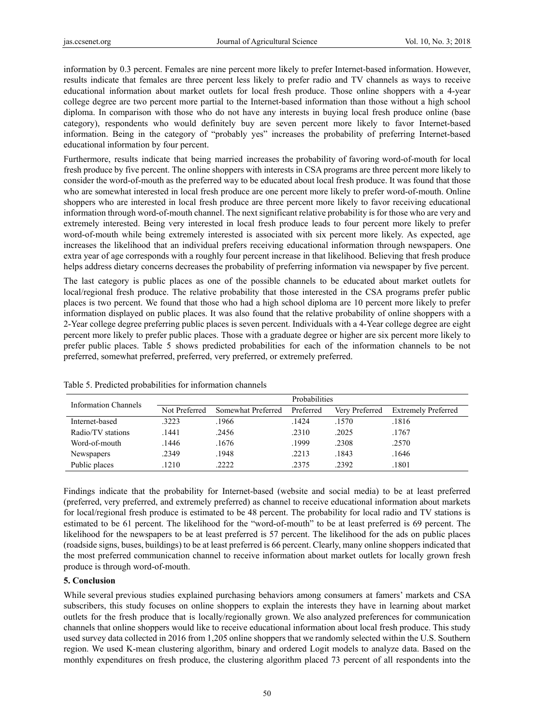information by 0.3 percent. Females are nine percent more likely to prefer Internet-based information. However, results indicate that females are three percent less likely to prefer radio and TV channels as ways to receive educational information about market outlets for local fresh produce. Those online shoppers with a 4-year college degree are two percent more partial to the Internet-based information than those without a high school diploma. In comparison with those who do not have any interests in buying local fresh produce online (base category), respondents who would definitely buy are seven percent more likely to favor Internet-based information. Being in the category of "probably yes" increases the probability of preferring Internet-based educational information by four percent.

Furthermore, results indicate that being married increases the probability of favoring word-of-mouth for local fresh produce by five percent. The online shoppers with interests in CSA programs are three percent more likely to consider the word-of-mouth as the preferred way to be educated about local fresh produce. It was found that those who are somewhat interested in local fresh produce are one percent more likely to prefer word-of-mouth. Online shoppers who are interested in local fresh produce are three percent more likely to favor receiving educational information through word-of-mouth channel. The next significant relative probability is for those who are very and extremely interested. Being very interested in local fresh produce leads to four percent more likely to prefer word-of-mouth while being extremely interested is associated with six percent more likely. As expected, age increases the likelihood that an individual prefers receiving educational information through newspapers. One extra year of age corresponds with a roughly four percent increase in that likelihood. Believing that fresh produce helps address dietary concerns decreases the probability of preferring information via newspaper by five percent.

The last category is public places as one of the possible channels to be educated about market outlets for local/regional fresh produce. The relative probability that those interested in the CSA programs prefer public places is two percent. We found that those who had a high school diploma are 10 percent more likely to prefer information displayed on public places. It was also found that the relative probability of online shoppers with a 2-Year college degree preferring public places is seven percent. Individuals with a 4-Year college degree are eight percent more likely to prefer public places. Those with a graduate degree or higher are six percent more likely to prefer public places. Table 5 shows predicted probabilities for each of the information channels to be not preferred, somewhat preferred, preferred, very preferred, or extremely preferred.

| <b>Information Channels</b> | Probabilities |                    |           |                |                            |
|-----------------------------|---------------|--------------------|-----------|----------------|----------------------------|
|                             | Not Preferred | Somewhat Preferred | Preferred | Very Preferred | <b>Extremely Preferred</b> |
| Internet-based              | 3223          | .1966              | .1424     | .1570          | .1816                      |
| Radio/TV stations           | .1441         | .2456              | .2310     | .2025          | .1767                      |
| Word-of-mouth               | .1446         | .1676              | .1999     | .2308          | .2570                      |
| Newspapers                  | .2349         | .1948              | .2213     | .1843          | .1646                      |
| Public places               | .1210         | .2222              | .2375     | .2392          | .1801                      |

Table 5. Predicted probabilities for information channels

Findings indicate that the probability for Internet-based (website and social media) to be at least preferred (preferred, very preferred, and extremely preferred) as channel to receive educational information about markets for local/regional fresh produce is estimated to be 48 percent. The probability for local radio and TV stations is estimated to be 61 percent. The likelihood for the "word-of-mouth" to be at least preferred is 69 percent. The likelihood for the newspapers to be at least preferred is 57 percent. The likelihood for the ads on public places (roadside signs, buses, buildings) to be at least preferred is 66 percent. Clearly, many online shoppers indicated that the most preferred communication channel to receive information about market outlets for locally grown fresh produce is through word-of-mouth.

# **5. Conclusion**

While several previous studies explained purchasing behaviors among consumers at famers' markets and CSA subscribers, this study focuses on online shoppers to explain the interests they have in learning about market outlets for the fresh produce that is locally/regionally grown. We also analyzed preferences for communication channels that online shoppers would like to receive educational information about local fresh produce. This study used survey data collected in 2016 from 1,205 online shoppers that we randomly selected within the U.S. Southern region. We used K-mean clustering algorithm, binary and ordered Logit models to analyze data. Based on the monthly expenditures on fresh produce, the clustering algorithm placed 73 percent of all respondents into the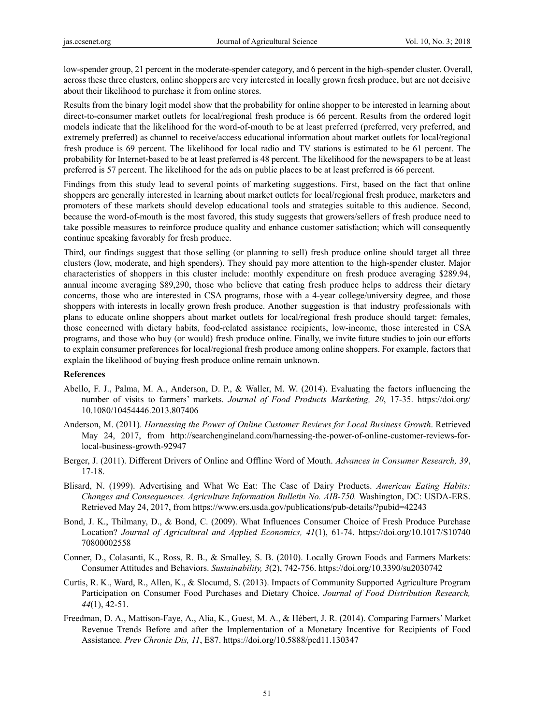low-spender group, 21 percent in the moderate-spender category, and 6 percent in the high-spender cluster. Overall, across these three clusters, online shoppers are very interested in locally grown fresh produce, but are not decisive about their likelihood to purchase it from online stores.

Results from the binary logit model show that the probability for online shopper to be interested in learning about direct-to-consumer market outlets for local/regional fresh produce is 66 percent. Results from the ordered logit models indicate that the likelihood for the word-of-mouth to be at least preferred (preferred, very preferred, and extremely preferred) as channel to receive/access educational information about market outlets for local/regional fresh produce is 69 percent. The likelihood for local radio and TV stations is estimated to be 61 percent. The probability for Internet-based to be at least preferred is 48 percent. The likelihood for the newspapers to be at least preferred is 57 percent. The likelihood for the ads on public places to be at least preferred is 66 percent.

Findings from this study lead to several points of marketing suggestions. First, based on the fact that online shoppers are generally interested in learning about market outlets for local/regional fresh produce, marketers and promoters of these markets should develop educational tools and strategies suitable to this audience. Second, because the word-of-mouth is the most favored, this study suggests that growers/sellers of fresh produce need to take possible measures to reinforce produce quality and enhance customer satisfaction; which will consequently continue speaking favorably for fresh produce.

Third, our findings suggest that those selling (or planning to sell) fresh produce online should target all three clusters (low, moderate, and high spenders). They should pay more attention to the high-spender cluster. Major characteristics of shoppers in this cluster include: monthly expenditure on fresh produce averaging \$289.94, annual income averaging \$89,290, those who believe that eating fresh produce helps to address their dietary concerns, those who are interested in CSA programs, those with a 4-year college/university degree, and those shoppers with interests in locally grown fresh produce. Another suggestion is that industry professionals with plans to educate online shoppers about market outlets for local/regional fresh produce should target: females, those concerned with dietary habits, food-related assistance recipients, low-income, those interested in CSA programs, and those who buy (or would) fresh produce online. Finally, we invite future studies to join our efforts to explain consumer preferences for local/regional fresh produce among online shoppers. For example, factors that explain the likelihood of buying fresh produce online remain unknown.

#### **References**

- Abello, F. J., Palma, M. A., Anderson, D. P., & Waller, M. W. (2014). Evaluating the factors influencing the number of visits to farmers' markets. *Journal of Food Products Marketing, 20*, 17-35. https://doi.org/ 10.1080/10454446.2013.807406
- Anderson, M. (2011). *Harnessing the Power of Online Customer Reviews for Local Business Growth*. Retrieved May 24, 2017, from http://searchengineland.com/harnessing-the-power-of-online-customer-reviews-forlocal-business-growth-92947
- Berger, J. (2011). Different Drivers of Online and Offline Word of Mouth. *Advances in Consumer Research, 39*, 17-18.
- Blisard, N. (1999). Advertising and What We Eat: The Case of Dairy Products. *American Eating Habits: Changes and Consequences. Agriculture Information Bulletin No. AIB-750.* Washington, DC: USDA-ERS. Retrieved May 24, 2017, from https://www.ers.usda.gov/publications/pub-details/?pubid=42243
- Bond, J. K., Thilmany, D., & Bond, C. (2009). What Influences Consumer Choice of Fresh Produce Purchase Location? *Journal of Agricultural and Applied Economics, 41*(1), 61-74. https://doi.org/10.1017/S10740 70800002558
- Conner, D., Colasanti, K., Ross, R. B., & Smalley, S. B. (2010). Locally Grown Foods and Farmers Markets: Consumer Attitudes and Behaviors. *Sustainability, 3*(2), 742-756. https://doi.org/10.3390/su2030742
- Curtis, R. K., Ward, R., Allen, K., & Slocumd, S. (2013). Impacts of Community Supported Agriculture Program Participation on Consumer Food Purchases and Dietary Choice. *Journal of Food Distribution Research, 44*(1), 42-51.
- Freedman, D. A., Mattison-Faye, A., Alia, K., Guest, M. A., & Hébert, J. R. (2014). Comparing Farmers' Market Revenue Trends Before and after the Implementation of a Monetary Incentive for Recipients of Food Assistance. *Prev Chronic Dis, 11*, E87. https://doi.org/10.5888/pcd11.130347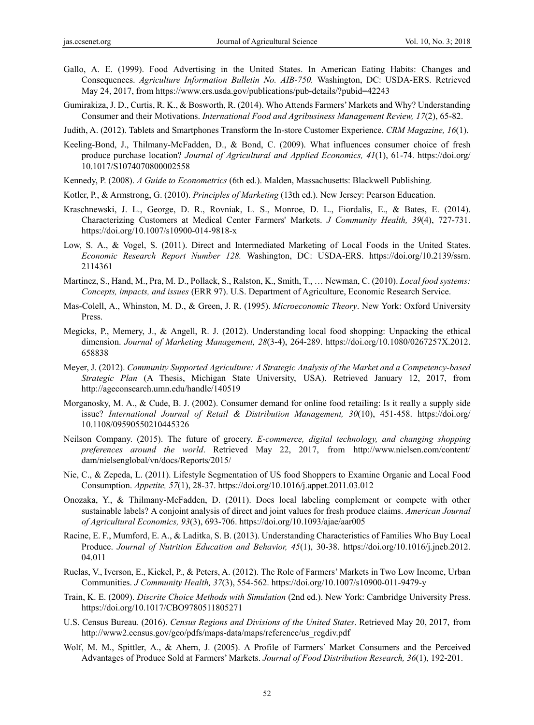- Gallo, A. E. (1999). Food Advertising in the United States. In American Eating Habits: Changes and Consequences. *Agriculture Information Bulletin No. AIB-750.* Washington, DC: USDA-ERS. Retrieved May 24, 2017, from https://www.ers.usda.gov/publications/pub-details/?pubid=42243
- Gumirakiza, J. D., Curtis, R. K., & Bosworth, R. (2014). Who Attends Farmers' Markets and Why? Understanding Consumer and their Motivations. *International Food and Agribusiness Management Review, 17*(2), 65-82.
- Judith, A. (2012). Tablets and Smartphones Transform the In-store Customer Experience. *CRM Magazine, 16*(1).
- Keeling-Bond, J., Thilmany-McFadden, D., & Bond, C. (2009). What influences consumer choice of fresh produce purchase location? *Journal of Agricultural and Applied Economics, 41*(1), 61-74. https://doi.org/ 10.1017/S1074070800002558
- Kennedy, P. (2008). *A Guide to Econometrics* (6th ed.). Malden, Massachusetts: Blackwell Publishing.
- Kotler, P., & Armstrong, G. (2010). *Principles of Marketing* (13th ed.). New Jersey: Pearson Education.
- Kraschnewski, J. L., George, D. R., Rovniak, L. S., Monroe, D. L., Fiordalis, E., & Bates, E. (2014). Characterizing Customers at Medical Center Farmers' Markets. *J Community Health, 39*(4), 727-731. https://doi.org/10.1007/s10900-014-9818-x
- Low, S. A., & Vogel, S. (2011). Direct and Intermediated Marketing of Local Foods in the United States. *Economic Research Report Number 128.* Washington, DC: USDA-ERS. https://doi.org/10.2139/ssrn. 2114361
- Martinez, S., Hand, M., Pra, M. D., Pollack, S., Ralston, K., Smith, T., … Newman, C. (2010). *Local food systems: Concepts, impacts, and issues* (ERR 97). U.S. Department of Agriculture, Economic Research Service.
- Mas-Colell, A., Whinston, M. D., & Green, J. R. (1995). *Microeconomic Theory*. New York: Oxford University Press.
- Megicks, P., Memery, J., & Angell, R. J. (2012). Understanding local food shopping: Unpacking the ethical dimension. *Journal of Marketing Management, 28*(3-4), 264-289. https://doi.org/10.1080/0267257X.2012. 658838
- Meyer, J. (2012). *Community Supported Agriculture: A Strategic Analysis of the Market and a Competency-based Strategic Plan* (A Thesis, Michigan State University, USA). Retrieved January 12, 2017, from http://ageconsearch.umn.edu/handle/140519
- Morganosky, M. A., & Cude, B. J. (2002). Consumer demand for online food retailing: Is it really a supply side issue? *International Journal of Retail & Distribution Management, 30*(10), 451-458. https://doi.org/ 10.1108/09590550210445326
- Neilson Company. (2015). The future of grocery. *E-commerce, digital technology, and changing shopping preferences around the world*. Retrieved May 22, 2017, from http://www.nielsen.com/content/ dam/nielsenglobal/vn/docs/Reports/2015/
- Nie, C., & Zepeda, L. (2011). Lifestyle Segmentation of US food Shoppers to Examine Organic and Local Food Consumption. *Appetite, 57*(1), 28-37. https://doi.org/10.1016/j.appet.2011.03.012
- Onozaka, Y., & Thilmany-McFadden, D. (2011). Does local labeling complement or compete with other sustainable labels? A conjoint analysis of direct and joint values for fresh produce claims. *American Journal of Agricultural Economics, 93*(3), 693-706. https://doi.org/10.1093/ajae/aar005
- Racine, E. F., Mumford, E. A., & Laditka, S. B. (2013). Understanding Characteristics of Families Who Buy Local Produce. *Journal of Nutrition Education and Behavior, 45*(1), 30-38. https://doi.org/10.1016/j.jneb.2012. 04.011
- Ruelas, V., Iverson, E., Kiekel, P., & Peters, A. (2012). The Role of Farmers' Markets in Two Low Income, Urban Communities. *J Community Health, 37*(3), 554-562. https://doi.org/10.1007/s10900-011-9479-y
- Train, K. E. (2009). *Discrite Choice Methods with Simulation* (2nd ed.). New York: Cambridge University Press. https://doi.org/10.1017/CBO9780511805271
- U.S. Census Bureau. (2016). *Census Regions and Divisions of the United States*. Retrieved May 20, 2017, from http://www2.census.gov/geo/pdfs/maps-data/maps/reference/us\_regdiv.pdf
- Wolf, M. M., Spittler, A., & Ahern, J. (2005). A Profile of Farmers' Market Consumers and the Perceived Advantages of Produce Sold at Farmers' Markets. *Journal of Food Distribution Research, 36*(1), 192-201.